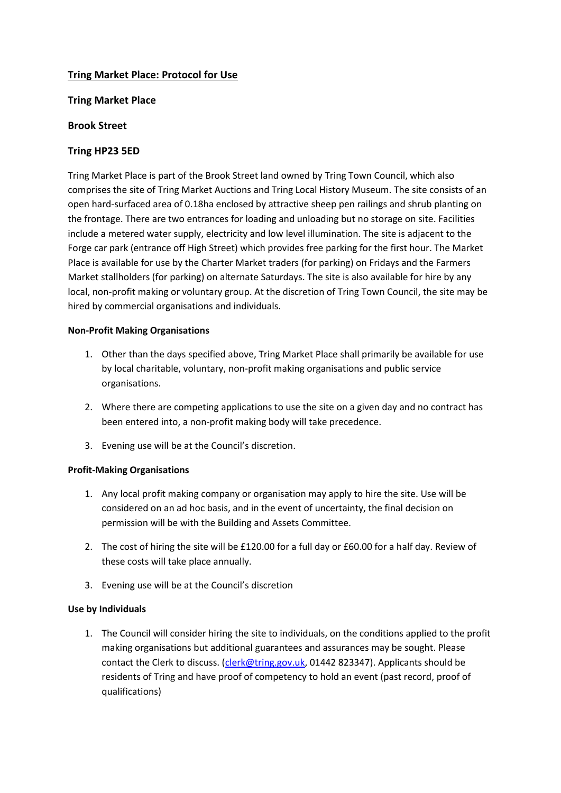# **Tring Market Place: Protocol for Use**

### **Tring Market Place**

### **Brook Street**

### **Tring HP23 5ED**

Tring Market Place is part of the Brook Street land owned by Tring Town Council, which also comprises the site of Tring Market Auctions and Tring Local History Museum. The site consists of an open hard-surfaced area of 0.18ha enclosed by attractive sheep pen railings and shrub planting on the frontage. There are two entrances for loading and unloading but no storage on site. Facilities include a metered water supply, electricity and low level illumination. The site is adjacent to the Forge car park (entrance off High Street) which provides free parking for the first hour. The Market Place is available for use by the Charter Market traders (for parking) on Fridays and the Farmers Market stallholders (for parking) on alternate Saturdays. The site is also available for hire by any local, non-profit making or voluntary group. At the discretion of Tring Town Council, the site may be hired by commercial organisations and individuals.

#### **Non-Profit Making Organisations**

- 1. Other than the days specified above, Tring Market Place shall primarily be available for use by local charitable, voluntary, non-profit making organisations and public service organisations.
- 2. Where there are competing applications to use the site on a given day and no contract has been entered into, a non-profit making body will take precedence.
- 3. Evening use will be at the Council's discretion.

#### **Profit-Making Organisations**

- 1. Any local profit making company or organisation may apply to hire the site. Use will be considered on an ad hoc basis, and in the event of uncertainty, the final decision on permission will be with the Building and Assets Committee.
- 2. The cost of hiring the site will be £120.00 for a full day or £60.00 for a half day. Review of these costs will take place annually.
- 3. Evening use will be at the Council's discretion

#### **Use by Individuals**

1. The Council will consider hiring the site to individuals, on the conditions applied to the profit making organisations but additional guarantees and assurances may be sought. Please contact the Clerk to discuss. [\(clerk@tring.gov.uk,](mailto:clerk@tring.gov.uk) 01442 823347). Applicants should be residents of Tring and have proof of competency to hold an event (past record, proof of qualifications)